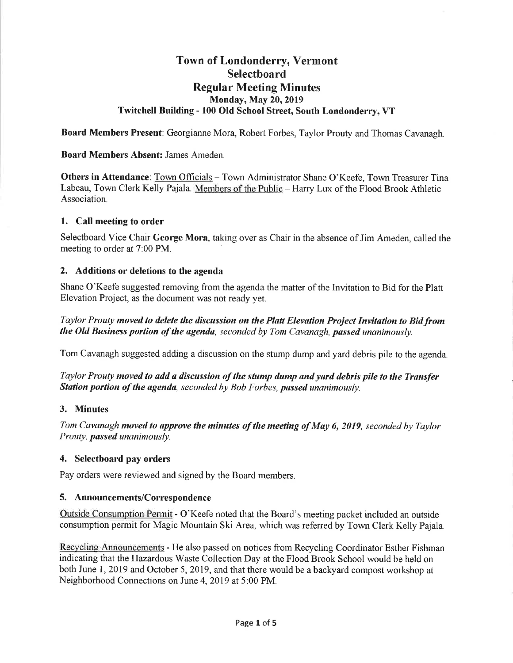# **Town of Londonderry, Vermont Selectboard Regular Meeting Minutes Monday, May 20, 2019** Twitchell Building - 100 Old School Street, South Londonderry, VT

**Board Members Present:** Georgianne Mora, Robert Forbes, Taylor Prouty and Thomas Cavanagh.

#### **Board Members Absent: James Ameden.**

Others in Attendance: Town Officials - Town Administrator Shane O'Keefe, Town Treasurer Tina Labeau, Town Clerk Kelly Pajala. Members of the Public - Harry Lux of the Flood Brook Athletic Association.

#### 1. Call meeting to order

Selectboard Vice Chair George Mora, taking over as Chair in the absence of Jim Ameden, called the meeting to order at 7:00 PM.

#### 2. Additions or deletions to the agenda

Shane O'Keefe suggested removing from the agenda the matter of the Invitation to Bid for the Platt Elevation Project, as the document was not ready yet.

Taylor Prouty moved to delete the discussion on the Platt Elevation Project Invitation to Bid from the Old Business portion of the agenda, seconded by Tom Cavanagh, passed unanimously.

Tom Cavanagh suggested adding a discussion on the stump dump and yard debris pile to the agenda.

Taylor Prouty moved to add a discussion of the stump dump and yard debris pile to the Transfer Station portion of the agenda, seconded by Bob Forbes, passed unanimously.

#### 3. Minutes

Tom Cavanagh moved to approve the minutes of the meeting of May 6, 2019, seconded by Taylor Prouty, passed unanimously.

#### 4. Selectboard pay orders

Pay orders were reviewed and signed by the Board members.

#### 5. Announcements/Correspondence

Outside Consumption Permit - O'Keefe noted that the Board's meeting packet included an outside consumption permit for Magic Mountain Ski Area, which was referred by Town Clerk Kelly Pajala.

Recycling Announcements - He also passed on notices from Recycling Coordinator Esther Fishman indicating that the Hazardous Waste Collection Day at the Flood Brook School would be held on both June 1, 2019 and October 5, 2019, and that there would be a backyard compost workshop at Neighborhood Connections on June 4, 2019 at 5:00 PM.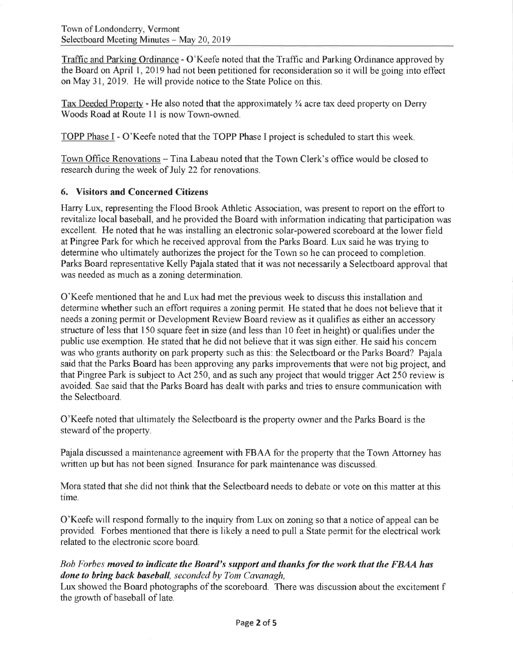Traffic and Parking Ordinance - O'Keefe noted that the Traffic and Parking Ordinance approved by the Board on April 1, 2019 had not been petitioned for reconsideration so it will be going into effect on May 31, 2019. He will provide notice to the State Police on this.

Tax Deeded Property - He also noted that the approximately  $\frac{3}{4}$  acre tax deed property on Derry Woods Road at Route 11 is now Town-owned.

TOPP Phase I - O'Keefe noted that the TOPP Phase I project is scheduled to start this week.

Town Office Renovations – Tina Labeau noted that the Town Clerk's office would be closed to research during the week of July 22 for renovations.

## **6. Visitors and Concerned Citizens**

Harry Lux, representing the Flood Brook Athletic Association, was present to report on the effort to revitalize local baseball, and he provided the Board with information indicating that participation was excellent. He noted that he was installing an electronic solar-powered scoreboard at the lower field at Pingree Park for which he received approval from the Parks Board. Lux said he was trying to determine who ultimately authorizes the project for the Town so he can proceed to completion. Parks Board representative Kelly Pajala stated that it was not necessarily a Selectboard approval that was needed as much as a zoning determination.

O'Keefe mentioned that he and Lux had met the previous week to discuss this installation and determine whether such an effort requires a zoning permit. He stated that he does not believe that it needs a zoning permit or Development Review Board review as it qualifies as either an accessory structure of less that 150 square feet in size (and less than 10 feet in height) or qualifies under the public use exemption. He stated that he did not believe that it was sign either. He said his concern was who grants authority on park property such as this: the Selectboard or the Parks Board? Pajala said that the Parks Board has been approving any parks improvements that were not big project, and that Pingree Park is subject to Act 250, and as such any project that would trigger Act 250 review is avoided. Sae said that the Parks Board has dealt with parks and tries to ensure communication with the Selectboard.

O'Keefe noted that ultimately the Selectboard is the property owner and the Parks Board is the steward of the property.

Pajala discussed a maintenance agreement with FBAA for the property that the Town Attorney has written up but has not been signed. Insurance for park maintenance was discussed.

Mora stated that she did not think that the Selectboard needs to debate or vote on this matter at this time.

O'Keefe will respond formally to the inquiry from Lux on zoning so that a notice of appeal can be provided. Forbes mentioned that there is likely a need to pull a State permit for the electrical work related to the electronic score board.

## Bob Forbes moved to indicate the Board's support and thanks for the work that the FBAA has done to bring back baseball, seconded by Tom Cavanagh,

Lux showed the Board photographs of the scoreboard. There was discussion about the excitement f the growth of baseball of late.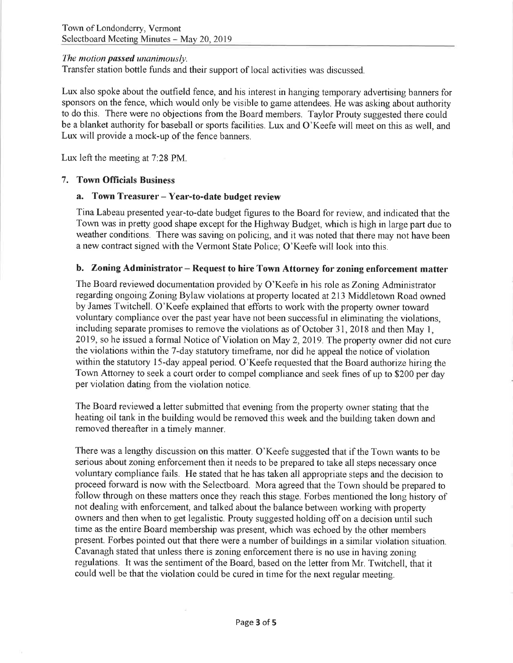## The motion passed unanimously.

Transfer station bottle funds and their support of local activities was discussed.

Lux also spoke about the outfield fence, and his interest in hanging temporary advertising banners for sponsors on the fence, which would only be visible to game attendees. He was asking about authority to do this. There were no objections from the Board members. Taylor Prouty suggested there could be a blanket authority for baseball or sports facilities. Lux and O'Keefe will meet on this as well, and Lux will provide a mock-up of the fence banners.

Lux left the meeting at 7:28 PM.

## 7. Town Officials Business

#### a. Town Treasurer – Year-to-date budget review

Tina Labeau presented year-to-date budget figures to the Board for review, and indicated that the Town was in pretty good shape except for the Highway Budget, which is high in large part due to weather conditions. There was saving on policing, and it was noted that there may not have been a new contract signed with the Vermont State Police; O'Keefe will look into this.

#### b. Zoning Administrator – Request to hire Town Attorney for zoning enforcement matter

The Board reviewed documentation provided by O'Keefe in his role as Zoning Administrator regarding ongoing Zoning Bylaw violations at property located at 213 Middletown Road owned by James Twitchell. O'Keefe explained that efforts to work with the property owner toward voluntary compliance over the past year have not been successful in eliminating the violations, including separate promises to remove the violations as of October 31, 2018 and then May 1, 2019, so he issued a formal Notice of Violation on May 2, 2019. The property owner did not cure the violations within the 7-day statutory timeframe, nor did he appeal the notice of violation within the statutory 15-day appeal period. O'Keefe requested that the Board authorize hiring the Town Attorney to seek a court order to compel compliance and seek fines of up to \$200 per day per violation dating from the violation notice.

The Board reviewed a letter submitted that evening from the property owner stating that the heating oil tank in the building would be removed this week and the building taken down and removed thereafter in a timely manner.

There was a lengthy discussion on this matter. O'Keefe suggested that if the Town wants to be serious about zoning enforcement then it needs to be prepared to take all steps necessary once voluntary compliance fails. He stated that he has taken all appropriate steps and the decision to proceed forward is now with the Selectboard. Mora agreed that the Town should be prepared to follow through on these matters once they reach this stage. Forbes mentioned the long history of not dealing with enforcement, and talked about the balance between working with property owners and then when to get legalistic. Prouty suggested holding off on a decision until such time as the entire Board membership was present, which was echoed by the other members present. Forbes pointed out that there were a number of buildings in a similar violation situation. Cavanagh stated that unless there is zoning enforcement there is no use in having zoning regulations. It was the sentiment of the Board, based on the letter from Mr. Twitchell, that it could well be that the violation could be cured in time for the next regular meeting.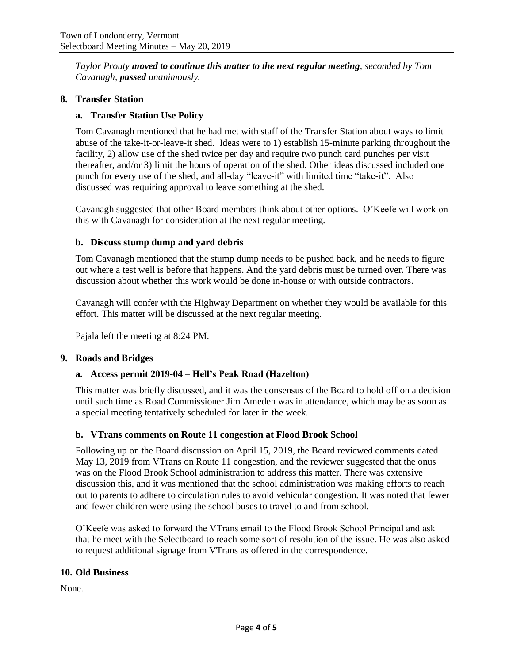*Taylor Prouty moved to continue this matter to the next regular meeting, seconded by Tom Cavanagh, passed unanimously.* 

### **8. Transfer Station**

## **a. Transfer Station Use Policy**

Tom Cavanagh mentioned that he had met with staff of the Transfer Station about ways to limit abuse of the take-it-or-leave-it shed. Ideas were to 1) establish 15-minute parking throughout the facility, 2) allow use of the shed twice per day and require two punch card punches per visit thereafter, and/or 3) limit the hours of operation of the shed. Other ideas discussed included one punch for every use of the shed, and all-day "leave-it" with limited time "take-it". Also discussed was requiring approval to leave something at the shed.

Cavanagh suggested that other Board members think about other options. O'Keefe will work on this with Cavanagh for consideration at the next regular meeting.

#### **b. Discuss stump dump and yard debris**

Tom Cavanagh mentioned that the stump dump needs to be pushed back, and he needs to figure out where a test well is before that happens. And the yard debris must be turned over. There was discussion about whether this work would be done in-house or with outside contractors.

Cavanagh will confer with the Highway Department on whether they would be available for this effort. This matter will be discussed at the next regular meeting.

Pajala left the meeting at 8:24 PM.

#### **9. Roads and Bridges**

#### **a. Access permit 2019-04 – Hell's Peak Road (Hazelton)**

This matter was briefly discussed, and it was the consensus of the Board to hold off on a decision until such time as Road Commissioner Jim Ameden was in attendance, which may be as soon as a special meeting tentatively scheduled for later in the week.

#### **b. VTrans comments on Route 11 congestion at Flood Brook School**

Following up on the Board discussion on April 15, 2019, the Board reviewed comments dated May 13, 2019 from VTrans on Route 11 congestion, and the reviewer suggested that the onus was on the Flood Brook School administration to address this matter. There was extensive discussion this, and it was mentioned that the school administration was making efforts to reach out to parents to adhere to circulation rules to avoid vehicular congestion. It was noted that fewer and fewer children were using the school buses to travel to and from school.

O'Keefe was asked to forward the VTrans email to the Flood Brook School Principal and ask that he meet with the Selectboard to reach some sort of resolution of the issue. He was also asked to request additional signage from VTrans as offered in the correspondence.

#### **10. Old Business**

None.